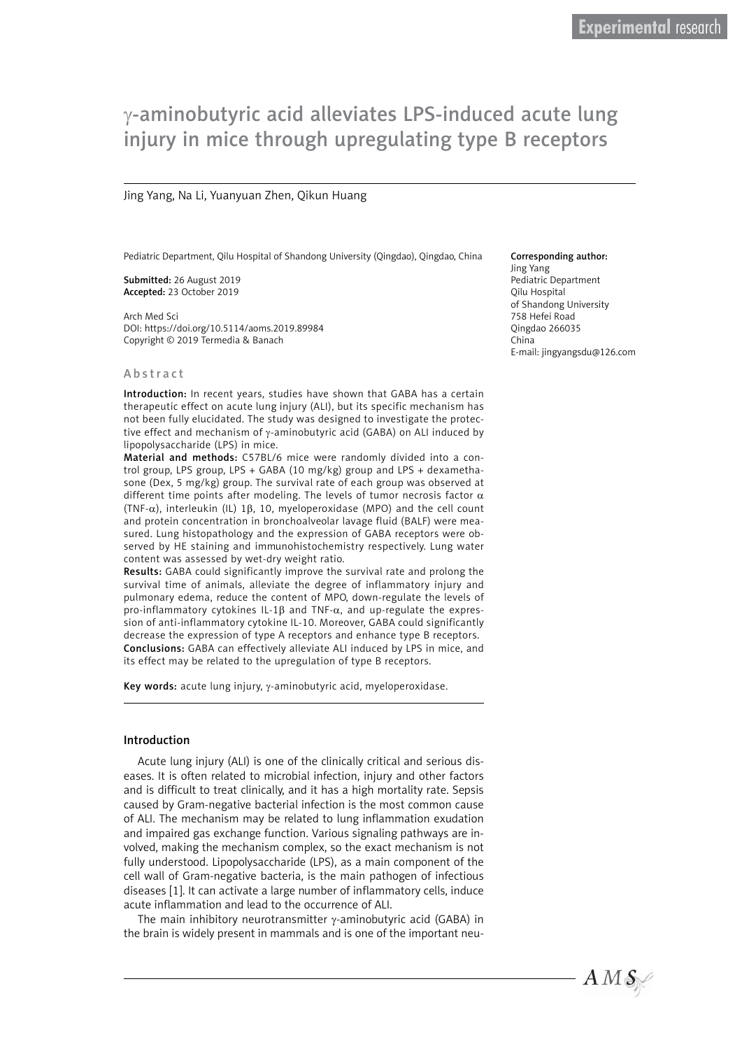# γ-aminobutyric acid alleviates LPS-induced acute lung injury in mice through upregulating type B receptors

#### Jing Yang, Na Li, Yuanyuan Zhen, Qikun Huang

Pediatric Department, Qilu Hospital of Shandong University (Qingdao), Qingdao, China

Submitted: 26 August 2019 Accepted: 23 October 2019

Arch Med Sci DOI: https://doi.org/10.5114/aoms.2019.89984 Copyright © 2019 Termedia & Banach

#### Abstract

Introduction: In recent years, studies have shown that GABA has a certain therapeutic effect on acute lung injury (ALI), but its specific mechanism has not been fully elucidated. The study was designed to investigate the protective effect and mechanism of γ-aminobutyric acid (GABA) on ALI induced by lipopolysaccharide (LPS) in mice.

Material and methods: C57BL/6 mice were randomly divided into a control group, LPS group, LPS + GABA (10 mg/kg) group and LPS + dexamethasone (Dex, 5 mg/kg) group. The survival rate of each group was observed at different time points after modeling. The levels of tumor necrosis factor  $\alpha$ (TNF-α), interleukin (IL) 1β, 10, myeloperoxidase (MPO) and the cell count and protein concentration in bronchoalveolar lavage fluid (BALF) were measured. Lung histopathology and the expression of GABA receptors were observed by HE staining and immunohistochemistry respectively. Lung water content was assessed by wet-dry weight ratio.

Results: GABA could significantly improve the survival rate and prolong the survival time of animals, alleviate the degree of inflammatory injury and pulmonary edema, reduce the content of MPO, down-regulate the levels of pro-inflammatory cytokines IL-1 $\beta$  and TNF- $\alpha$ , and up-regulate the expression of anti-inflammatory cytokine IL-10. Moreover, GABA could significantly decrease the expression of type A receptors and enhance type B receptors. Conclusions: GABA can effectively alleviate ALI induced by LPS in mice, and its effect may be related to the upregulation of type B receptors.

Key words: acute lung injury, γ-aminobutyric acid, myeloperoxidase.

#### Introduction

Acute lung injury (ALI) is one of the clinically critical and serious diseases. It is often related to microbial infection, injury and other factors and is difficult to treat clinically, and it has a high mortality rate. Sepsis caused by Gram-negative bacterial infection is the most common cause of ALI. The mechanism may be related to lung inflammation exudation and impaired gas exchange function. Various signaling pathways are involved, making the mechanism complex, so the exact mechanism is not fully understood. Lipopolysaccharide (LPS), as a main component of the cell wall of Gram-negative bacteria, is the main pathogen of infectious diseases [1]. It can activate a large number of inflammatory cells, induce acute inflammation and lead to the occurrence of ALI.

The main inhibitory neurotransmitter γ-aminobutyric acid (GABA) in the brain is widely present in mammals and is one of the important neu-

#### Corresponding author:

Jing Yang Pediatric Department Qilu Hospital of Shandong University 758 Hefei Road Qingdao 266035 China E-mail: [jingyangsdu@126.com](mailto:jingyangsdu@126.com)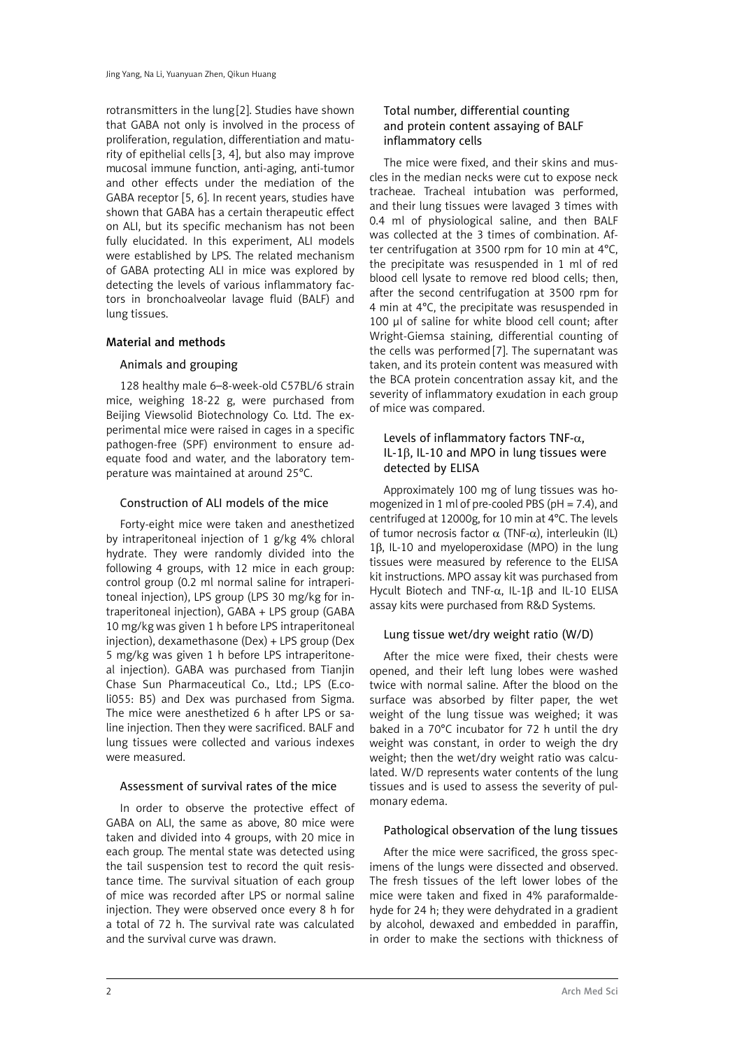rotransmitters in the lung [2]. Studies have shown that GABA not only is involved in the process of proliferation, regulation, differentiation and maturity of epithelial cells [3, 4], but also may improve mucosal immune function, anti-aging, anti-tumor and other effects under the mediation of the GABA receptor [5, 6]. In recent years, studies have shown that GABA has a certain therapeutic effect on ALI, but its specific mechanism has not been fully elucidated. In this experiment, ALI models were established by LPS. The related mechanism of GABA protecting ALI in mice was explored by detecting the levels of various inflammatory factors in bronchoalveolar lavage fluid (BALF) and lung tissues.

# Material and methods

# Animals and grouping

128 healthy male 6–8-week-old C57BL/6 strain mice, weighing 18-22 g, were purchased from Beijing Viewsolid Biotechnology Co. Ltd. The experimental mice were raised in cages in a specific pathogen-free (SPF) environment to ensure adequate food and water, and the laboratory temperature was maintained at around 25°C.

## Construction of ALI models of the mice

Forty-eight mice were taken and anesthetized by intraperitoneal injection of 1 g/kg 4% chloral hydrate. They were randomly divided into the following 4 groups, with 12 mice in each group: control group (0.2 ml normal saline for intraperitoneal injection), LPS group (LPS 30 mg/kg for intraperitoneal injection), GABA + LPS group (GABA 10 mg/kg was given 1 h before LPS intraperitoneal injection), dexamethasone (Dex) + LPS group (Dex 5 mg/kg was given 1 h before LPS intraperitoneal injection). GABA was purchased from Tianjin Chase Sun Pharmaceutical Co., Ltd.; LPS (E.coli055: B5) and Dex was purchased from Sigma. The mice were anesthetized 6 h after LPS or saline injection. Then they were sacrificed. BALF and lung tissues were collected and various indexes were measured.

## Assessment of survival rates of the mice

In order to observe the protective effect of GABA on ALI, the same as above, 80 mice were taken and divided into 4 groups, with 20 mice in each group. The mental state was detected using the tail suspension test to record the quit resistance time. The survival situation of each group of mice was recorded after LPS or normal saline injection. They were observed once every 8 h for a total of 72 h. The survival rate was calculated and the survival curve was drawn.

# Total number, differential counting and protein content assaying of BALF inflammatory cells

The mice were fixed, and their skins and muscles in the median necks were cut to expose neck tracheae. Tracheal intubation was performed, and their lung tissues were lavaged 3 times with 0.4 ml of physiological saline, and then BALF was collected at the 3 times of combination. After centrifugation at 3500 rpm for 10 min at 4°C, the precipitate was resuspended in 1 ml of red blood cell lysate to remove red blood cells; then, after the second centrifugation at 3500 rpm for 4 min at 4°C, the precipitate was resuspended in 100 μl of saline for white blood cell count; after Wright-Giemsa staining, differential counting of the cells was performed [7]. The supernatant was taken, and its protein content was measured with the BCA protein concentration assay kit, and the severity of inflammatory exudation in each group of mice was compared.

# Levels of inflammatory factors TNF- $\alpha$ , IL-1β, IL-10 and MPO in lung tissues were detected by ELISA

Approximately 100 mg of lung tissues was homogenized in 1 ml of pre-cooled PBS (pH = 7.4), and centrifuged at 12000g, for 10 min at 4°C. The levels of tumor necrosis factor  $\alpha$  (TNF-α), interleukin (IL) 1β, IL-10 and myeloperoxidase (MPO) in the lung tissues were measured by reference to the ELISA kit instructions. MPO assay kit was purchased from Hycult Biotech and TNF-α, IL-1β and IL-10 ELISA assay kits were purchased from R&D Systems.

# Lung tissue wet/dry weight ratio (W/D)

After the mice were fixed, their chests were opened, and their left lung lobes were washed twice with normal saline. After the blood on the surface was absorbed by filter paper, the wet weight of the lung tissue was weighed; it was baked in a 70°C incubator for 72 h until the dry weight was constant, in order to weigh the dry weight; then the wet/dry weight ratio was calculated. W/D represents water contents of the lung tissues and is used to assess the severity of pulmonary edema.

## Pathological observation of the lung tissues

After the mice were sacrificed, the gross specimens of the lungs were dissected and observed. The fresh tissues of the left lower lobes of the mice were taken and fixed in 4% paraformaldehyde for 24 h; they were dehydrated in a gradient by alcohol, dewaxed and embedded in paraffin, in order to make the sections with thickness of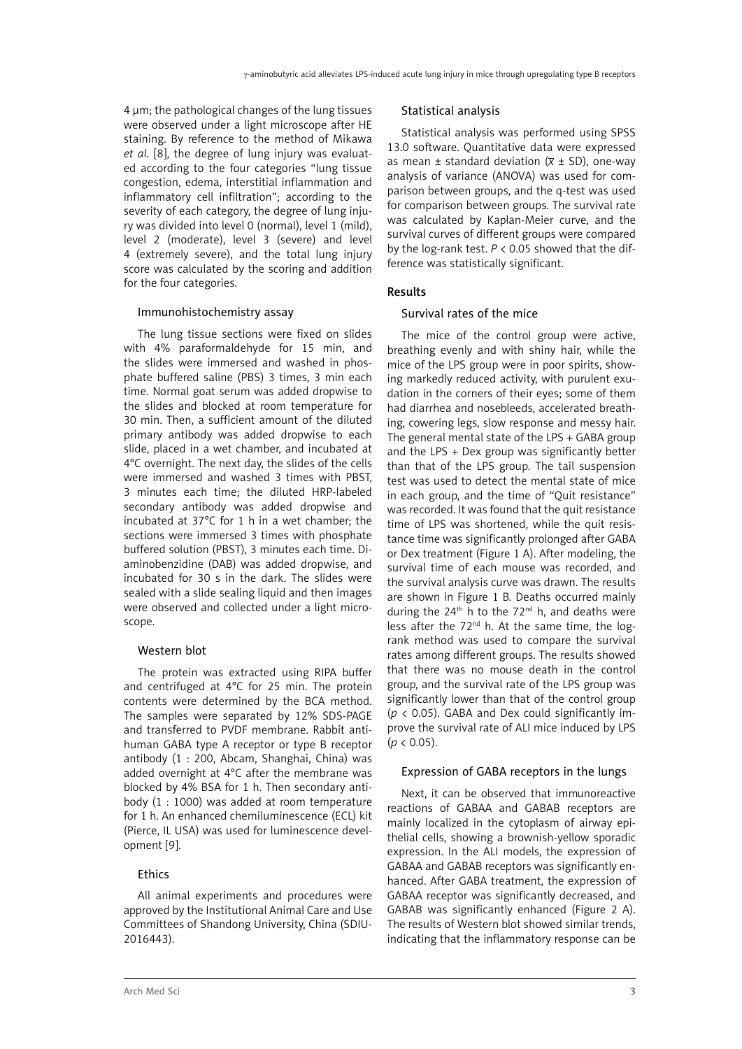4 μm; the pathological changes of the lung tissues were observed under a light microscope after HE staining. By reference to the method of Mikawa *et al.* [8], the degree of lung injury was evaluated according to the four categories "lung tissue congestion, edema, interstitial inflammation and inflammatory cell infiltration"; according to the severity of each category, the degree of lung injury was divided into level 0 (normal), level 1 (mild), level 2 (moderate), level 3 (severe) and level 4 (extremely severe), and the total lung injury score was calculated by the scoring and addition for the four categories.

#### Immunohistochemistry assay

The lung tissue sections were fixed on slides with 4% paraformaldehyde for 15 min, and the slides were immersed and washed in phosphate buffered saline (PBS) 3 times, 3 min each time. Normal goat serum was added dropwise to the slides and blocked at room temperature for 30 min. Then, a sufficient amount of the diluted primary antibody was added dropwise to each slide, placed in a wet chamber, and incubated at 4°C overnight. The next day, the slides of the cells were immersed and washed 3 times with PBST, 3 minutes each time; the diluted HRP-labeled secondary antibody was added dropwise and incubated at 37°C for 1 h in a wet chamber; the sections were immersed 3 times with phosphate buffered solution (PBST), 3 minutes each time. Diaminobenzidine (DAB) was added dropwise, and incubated for 30 s in the dark. The slides were sealed with a slide sealing liquid and then images were observed and collected under a light microscope.

## Western blot

The protein was extracted using RIPA buffer and centrifuged at 4°C for 25 min. The protein contents were determined by the BCA method. The samples were separated by 12% SDS-PAGE and transferred to PVDF membrane. Rabbit antihuman GABA type A receptor or type B receptor antibody (1 : 200, Abcam, Shanghai, China) was added overnight at 4°C after the membrane was blocked by 4% BSA for 1 h. Then secondary antibody (1 : 1000) was added at room temperature for 1 h. An enhanced chemiluminescence (ECL) kit (Pierce, IL USA) was used for luminescence development [9].

## **Ethics**

All animal experiments and procedures were approved by the Institutional Animal Care and Use Committees of Shandong University, China (SDIU-2016443).

#### Statistical analysis

Statistical analysis was performed using SPSS 13.0 software. Quantitative data were expressed as mean  $\pm$  standard deviation ( $\bar{x}$   $\pm$  SD), one-way analysis of variance (ANOVA) was used for comparison between groups, and the q-test was used for comparison between groups. The survival rate was calculated by Kaplan-Meier curve, and the survival curves of different groups were compared by the log-rank test. *P* < 0.05 showed that the difference was statistically significant.

# Results

#### Survival rates of the mice

The mice of the control group were active, breathing evenly and with shiny hair, while the mice of the LPS group were in poor spirits, showing markedly reduced activity, with purulent exudation in the corners of their eyes; some of them had diarrhea and nosebleeds, accelerated breathing, cowering legs, slow response and messy hair. The general mental state of the LPS + GABA group and the LPS + Dex group was significantly better than that of the LPS group. The tail suspension test was used to detect the mental state of mice in each group, and the time of "Quit resistance" was recorded. It was found that the quit resistance time of LPS was shortened, while the quit resistance time was significantly prolonged after GABA or Dex treatment (Figure 1 A). After modeling, the survival time of each mouse was recorded, and the survival analysis curve was drawn. The results are shown in Figure 1 B. Deaths occurred mainly during the  $24<sup>th</sup>$  h to the  $72<sup>nd</sup>$  h, and deaths were less after the  $72<sup>nd</sup>$  h. At the same time, the logrank method was used to compare the survival rates among different groups. The results showed that there was no mouse death in the control group, and the survival rate of the LPS group was significantly lower than that of the control group (*p* < 0.05). GABA and Dex could significantly improve the survival rate of ALI mice induced by LPS  $(p < 0.05)$ .

## Expression of GABA receptors in the lungs

Next, it can be observed that immunoreactive reactions of GABAA and GABAB receptors are mainly localized in the cytoplasm of airway epithelial cells, showing a brownish-yellow sporadic expression. In the ALI models, the expression of GABAA and GABAB receptors was significantly enhanced. After GABA treatment, the expression of GABAA receptor was significantly decreased, and GABAB was significantly enhanced (Figure 2 A). The results of Western blot showed similar trends, indicating that the inflammatory response can be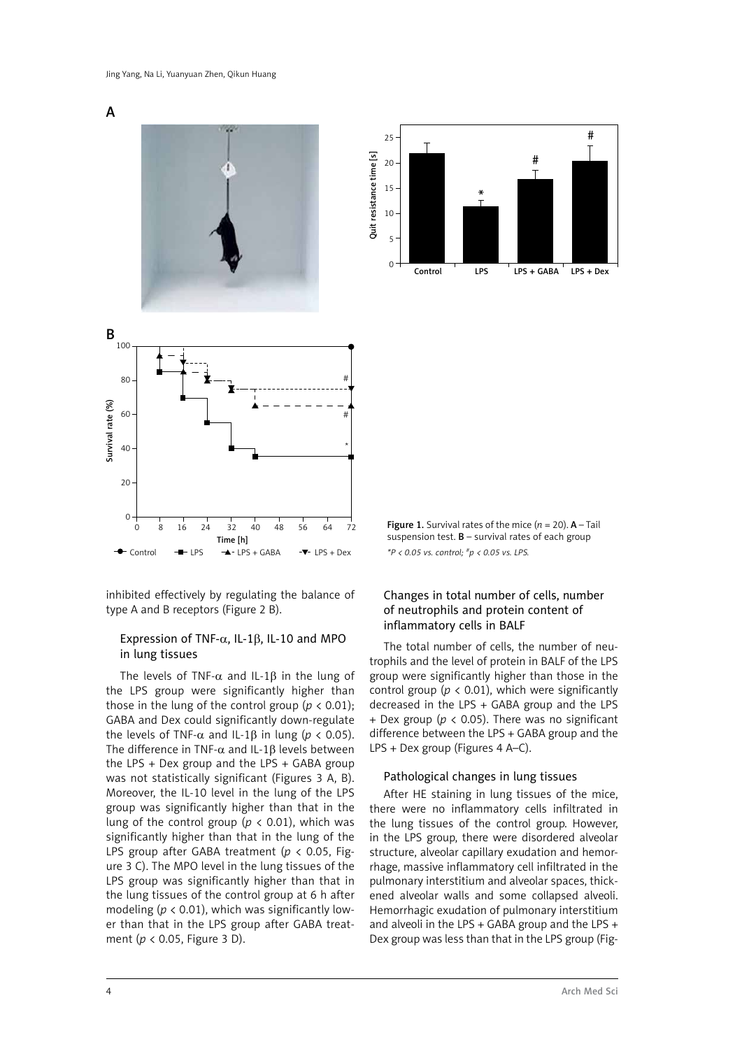





inhibited effectively by regulating the balance of type A and B receptors (Figure 2 B).

## Expression of TNF-α, IL-1β, IL-10 and MPO in lung tissues

The levels of TNF- $\alpha$  and IL-1 $\beta$  in the lung of the LPS group were significantly higher than those in the lung of the control group ( $p < 0.01$ ); GABA and Dex could significantly down-regulate the levels of TNF-α and IL-1β in lung ( $p < 0.05$ ). The difference in TNF- $\alpha$  and IL-1 $\beta$  levels between the LPS + Dex group and the LPS + GABA group was not statistically significant (Figures 3 A, B). Moreover, the IL-10 level in the lung of the LPS group was significantly higher than that in the lung of the control group ( $p < 0.01$ ), which was significantly higher than that in the lung of the LPS group after GABA treatment (*p* < 0.05, Figure 3 C). The MPO level in the lung tissues of the LPS group was significantly higher than that in the lung tissues of the control group at 6 h after modeling ( $p < 0.01$ ), which was significantly lower than that in the LPS group after GABA treatment (*p* < 0.05, Figure 3 D).

**Figure 1.** Survival rates of the mice  $(n = 20)$ . **A** – Tail suspension test.  $B$  – survival rates of each group *\*P < 0.05 vs. control; #p < 0.05 vs. LPS.*

## Changes in total number of cells, number of neutrophils and protein content of inflammatory cells in BALF

The total number of cells, the number of neutrophils and the level of protein in BALF of the LPS group were significantly higher than those in the control group  $(p < 0.01)$ , which were significantly decreased in the LPS + GABA group and the LPS + Dex group (*p* < 0.05). There was no significant difference between the LPS + GABA group and the LPS + Dex group (Figures 4 A–C).

#### Pathological changes in lung tissues

After HE staining in lung tissues of the mice, there were no inflammatory cells infiltrated in the lung tissues of the control group. However, in the LPS group, there were disordered alveolar structure, alveolar capillary exudation and hemorrhage, massive inflammatory cell infiltrated in the pulmonary interstitium and alveolar spaces, thickened alveolar walls and some collapsed alveoli. Hemorrhagic exudation of pulmonary interstitium and alveoli in the LPS + GABA group and the LPS + Dex group was less than that in the LPS group (Fig-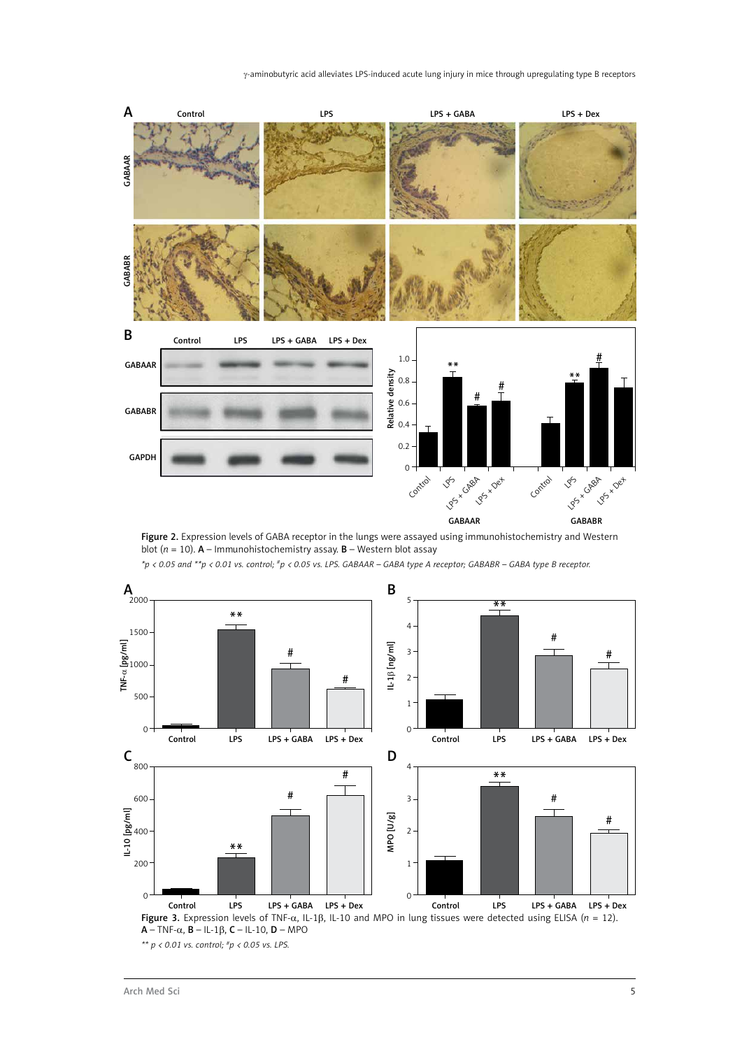

Figure 2. Expression levels of GABA receptor in the lungs were assayed using immunohistochemistry and Western blot (*n* = 10). A – Immunohistochemistry assay. B – Western blot assay



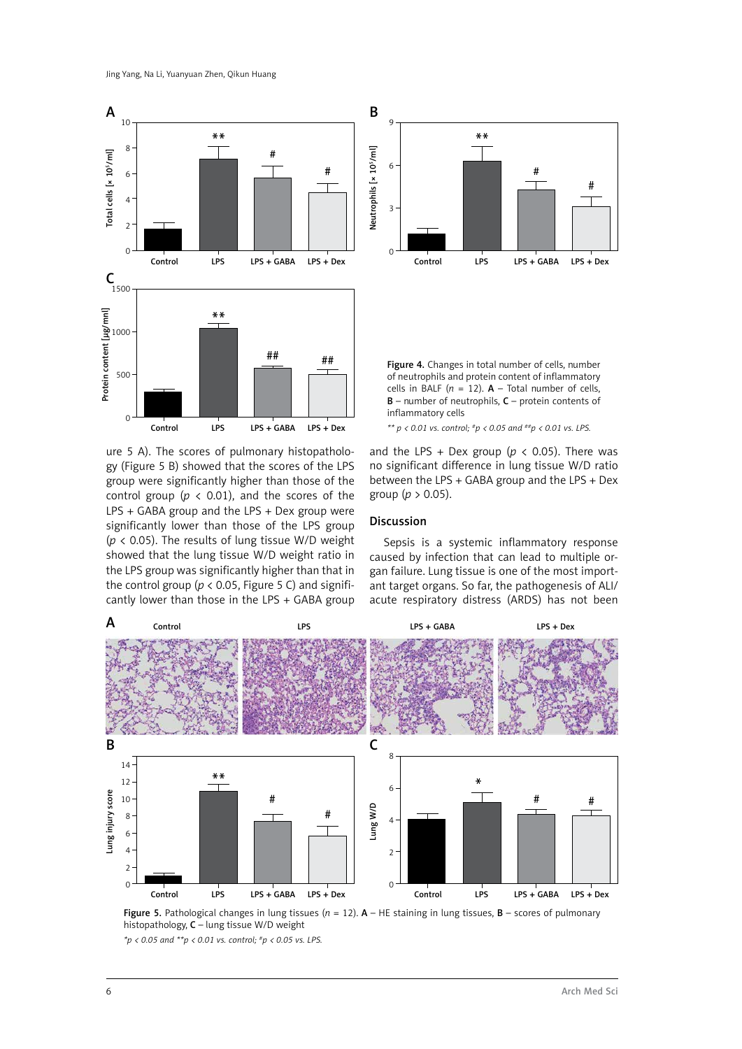

ure 5 A). The scores of pulmonary histopathology (Figure 5 B) showed that the scores of the LPS group were significantly higher than those of the control group ( $p < 0.01$ ), and the scores of the LPS + GABA group and the LPS + Dex group were significantly lower than those of the LPS group (*p* < 0.05). The results of lung tissue W/D weight showed that the lung tissue W/D weight ratio in the LPS group was significantly higher than that in the control group ( $p < 0.05$ , Figure 5 C) and significantly lower than those in the LPS + GABA group



Figure 4. Changes in total number of cells, number of neutrophils and protein content of inflammatory cells in BALF ( $n = 12$ ). **A** – Total number of cells, B – number of neutrophils, C – protein contents of inflammatory cells

*\*\* p < 0.01 vs. control; #p < 0.05 and ##p < 0.01 vs. LPS.*

and the LPS + Dex group ( $p < 0.05$ ). There was no significant difference in lung tissue W/D ratio between the LPS + GABA group and the LPS + Dex group (*p* > 0.05).

#### Discussion

Sepsis is a systemic inflammatory response caused by infection that can lead to multiple organ failure. Lung tissue is one of the most important target organs. So far, the pathogenesis of ALI/ acute respiratory distress (ARDS) has not been





*\*p < 0.05 and \*\*p < 0.01 vs. control; #p < 0.05 vs. LPS.*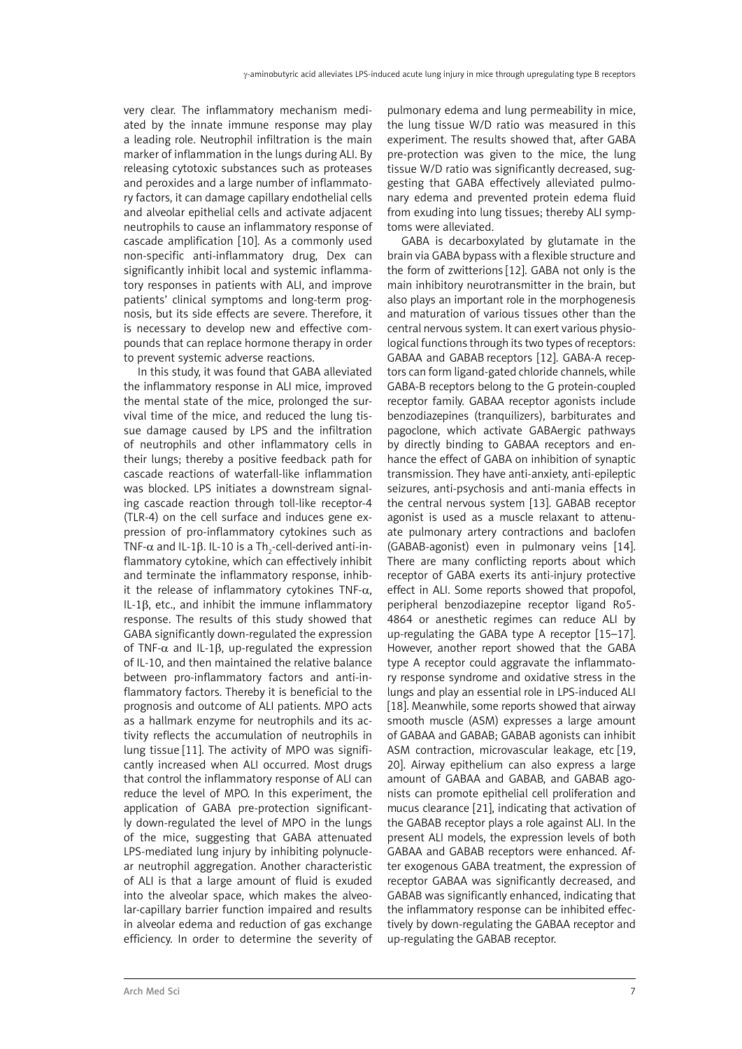very clear. The inflammatory mechanism mediated by the innate immune response may play a leading role. Neutrophil infiltration is the main marker of inflammation in the lungs during ALI. By releasing cytotoxic substances such as proteases and peroxides and a large number of inflammatory factors, it can damage capillary endothelial cells and alveolar epithelial cells and activate adjacent neutrophils to cause an inflammatory response of cascade amplification [10]. As a commonly used non-specific anti-inflammatory drug, Dex can significantly inhibit local and systemic inflammatory responses in patients with ALI, and improve patients' clinical symptoms and long-term prognosis, but its side effects are severe. Therefore, it is necessary to develop new and effective compounds that can replace hormone therapy in order to prevent systemic adverse reactions.

In this study, it was found that GABA alleviated the inflammatory response in ALI mice, improved the mental state of the mice, prolonged the survival time of the mice, and reduced the lung tissue damage caused by LPS and the infiltration of neutrophils and other inflammatory cells in their lungs; thereby a positive feedback path for cascade reactions of waterfall-like inflammation was blocked. LPS initiates a downstream signaling cascade reaction through toll-like receptor-4 (TLR-4) on the cell surface and induces gene expression of pro-inflammatory cytokines such as TNF- $\alpha$  and IL-1β. IL-10 is a Th $_2$ -cell-derived anti-inflammatory cytokine, which can effectively inhibit and terminate the inflammatory response, inhibit the release of inflammatory cytokines TNF- $\alpha$ , IL-1β, etc., and inhibit the immune inflammatory response. The results of this study showed that GABA significantly down-regulated the expression of TNF- $\alpha$  and IL-1 $\beta$ , up-regulated the expression of IL-10, and then maintained the relative balance between pro-inflammatory factors and anti-inflammatory factors. Thereby it is beneficial to the prognosis and outcome of ALI patients. MPO acts as a hallmark enzyme for neutrophils and its activity reflects the accumulation of neutrophils in lung tissue [11]. The activity of MPO was significantly increased when ALI occurred. Most drugs that control the inflammatory response of ALI can reduce the level of MPO. In this experiment, the application of GABA pre-protection significantly down-regulated the level of MPO in the lungs of the mice, suggesting that GABA attenuated LPS-mediated lung injury by inhibiting polynuclear neutrophil aggregation. Another characteristic of ALI is that a large amount of fluid is exuded into the alveolar space, which makes the alveolar-capillary barrier function impaired and results in alveolar edema and reduction of gas exchange efficiency. In order to determine the severity of

pulmonary edema and lung permeability in mice, the lung tissue W/D ratio was measured in this experiment. The results showed that, after GABA pre-protection was given to the mice, the lung tissue W/D ratio was significantly decreased, suggesting that GABA effectively alleviated pulmonary edema and prevented protein edema fluid from exuding into lung tissues; thereby ALI symptoms were alleviated.

GABA is decarboxylated by glutamate in the brain via GABA bypass with a flexible structure and the form of zwitterions [12]. GABA not only is the main inhibitory neurotransmitter in the brain, but also plays an important role in the morphogenesis and maturation of various tissues other than the central nervous system. It can exert various physiological functions through its two types of receptors: GABAA and GABAB receptors [12]. GABA-A receptors can form ligand-gated chloride channels, while GABA-B receptors belong to the G protein-coupled receptor family. GABAA receptor agonists include benzodiazepines (tranquilizers), barbiturates and pagoclone, which activate GABAergic pathways by directly binding to GABAA receptors and enhance the effect of GABA on inhibition of synaptic transmission. They have anti-anxiety, anti-epileptic seizures, anti-psychosis and anti-mania effects in the central nervous system [13]. GABAB receptor agonist is used as a muscle relaxant to attenuate pulmonary artery contractions and baclofen (GABAB-agonist) even in pulmonary veins [14]. There are many conflicting reports about which receptor of GABA exerts its anti-injury protective effect in ALI. Some reports showed that propofol, peripheral benzodiazepine receptor ligand Ro5- 4864 or anesthetic regimes can reduce ALI by up-regulating the GABA type A receptor [15–17]. However, another report showed that the GABA type A receptor could aggravate the inflammatory response syndrome and oxidative stress in the lungs and play an essential role in LPS-induced ALI [18]. Meanwhile, some reports showed that airway smooth muscle (ASM) expresses a large amount of GABAA and GABAB; GABAB agonists can inhibit ASM contraction, microvascular leakage, etc [19, 20]. Airway epithelium can also express a large amount of GABAA and GABAB, and GABAB agonists can promote epithelial cell proliferation and mucus clearance [21], indicating that activation of the GABAB receptor plays a role against ALI. In the present ALI models, the expression levels of both GABAA and GABAB receptors were enhanced. After exogenous GABA treatment, the expression of receptor GABAA was significantly decreased, and GABAB was significantly enhanced, indicating that the inflammatory response can be inhibited effectively by down-regulating the GABAA receptor and up-regulating the GABAB receptor.